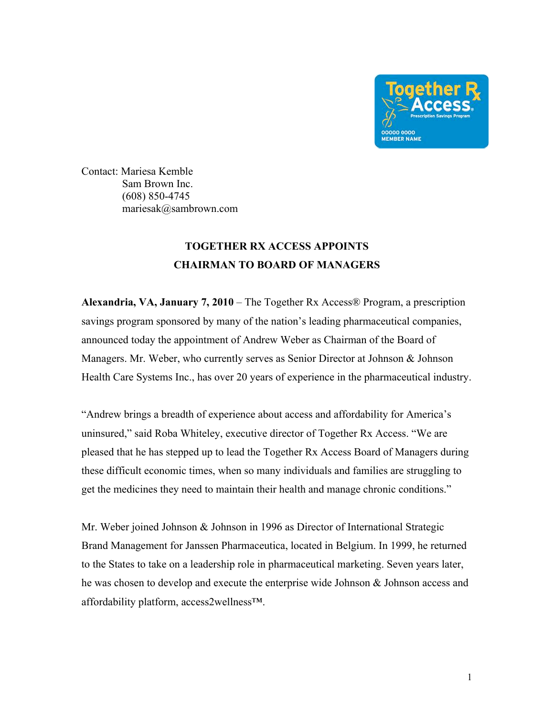

Contact: Mariesa Kemble Sam Brown Inc. (608) 850-4745 mariesak@sambrown.com

## **TOGETHER RX ACCESS APPOINTS CHAIRMAN TO BOARD OF MANAGERS**

**Alexandria, VA, January 7, 2010** – The Together Rx Access® Program, a prescription savings program sponsored by many of the nation's leading pharmaceutical companies, announced today the appointment of Andrew Weber as Chairman of the Board of Managers. Mr. Weber, who currently serves as Senior Director at Johnson & Johnson Health Care Systems Inc., has over 20 years of experience in the pharmaceutical industry.

"Andrew brings a breadth of experience about access and affordability for America's uninsured," said Roba Whiteley, executive director of Together Rx Access. "We are pleased that he has stepped up to lead the Together Rx Access Board of Managers during these difficult economic times, when so many individuals and families are struggling to get the medicines they need to maintain their health and manage chronic conditions."

Mr. Weber joined Johnson & Johnson in 1996 as Director of International Strategic Brand Management for Janssen Pharmaceutica, located in Belgium. In 1999, he returned to the States to take on a leadership role in pharmaceutical marketing. Seven years later, he was chosen to develop and execute the enterprise wide Johnson & Johnson access and affordability platform, access2wellness™.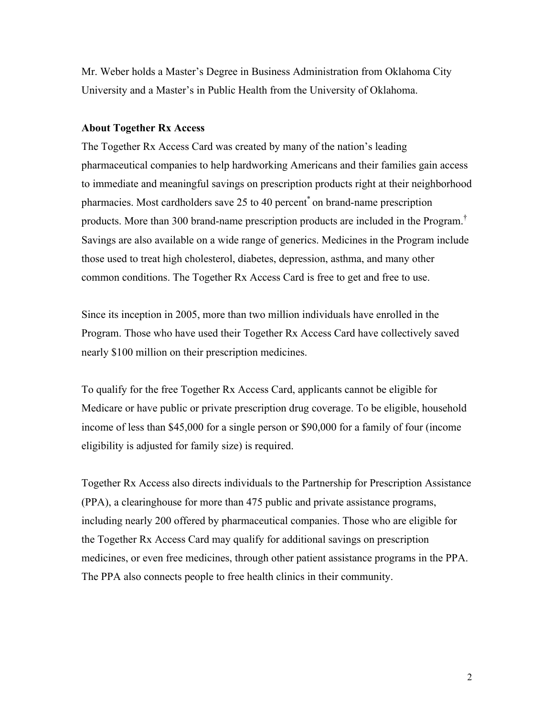Mr. Weber holds a Master's Degree in Business Administration from Oklahoma City University and a Master's in Public Health from the University of Oklahoma.

## **About Together Rx Access**

The Together Rx Access Card was created by many of the nation's leading pharmaceutical companies to help hardworking Americans and their families gain access to immediate and meaningful savings on prescription products right at their neighborhood pharmacies. Most cardholders save 25 to 40 percent\* on brand-name prescription products. More than 300 brand-name prescription products are included in the Program.† Savings are also available on a wide range of generics. Medicines in the Program include those used to treat high cholesterol, diabetes, depression, asthma, and many other common conditions. The Together Rx Access Card is free to get and free to use.

Since its inception in 2005, more than two million individuals have enrolled in the Program. Those who have used their Together Rx Access Card have collectively saved nearly \$100 million on their prescription medicines.

To qualify for the free Together Rx Access Card, applicants cannot be eligible for Medicare or have public or private prescription drug coverage. To be eligible, household income of less than \$45,000 for a single person or \$90,000 for a family of four (income eligibility is adjusted for family size) is required.

Together Rx Access also directs individuals to the Partnership for Prescription Assistance (PPA), a clearinghouse for more than 475 public and private assistance programs, including nearly 200 offered by pharmaceutical companies. Those who are eligible for the Together Rx Access Card may qualify for additional savings on prescription medicines, or even free medicines, through other patient assistance programs in the PPA. The PPA also connects people to free health clinics in their community.